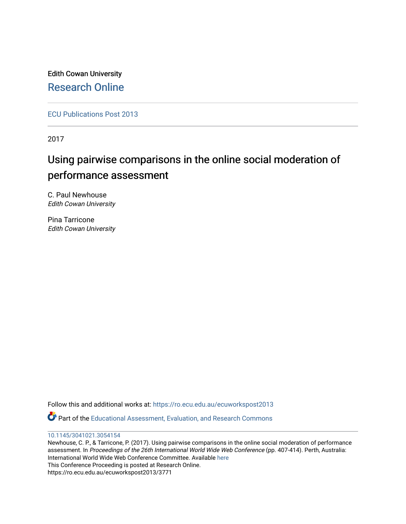Edith Cowan University [Research Online](https://ro.ecu.edu.au/) 

[ECU Publications Post 2013](https://ro.ecu.edu.au/ecuworkspost2013)

2017

# Using pairwise comparisons in the online social moderation of performance assessment

C. Paul Newhouse Edith Cowan University

Pina Tarricone Edith Cowan University

Follow this and additional works at: [https://ro.ecu.edu.au/ecuworkspost2013](https://ro.ecu.edu.au/ecuworkspost2013?utm_source=ro.ecu.edu.au%2Fecuworkspost2013%2F3771&utm_medium=PDF&utm_campaign=PDFCoverPages) 

Part of the [Educational Assessment, Evaluation, and Research Commons](http://network.bepress.com/hgg/discipline/796?utm_source=ro.ecu.edu.au%2Fecuworkspost2013%2F3771&utm_medium=PDF&utm_campaign=PDFCoverPages)

#### [10.1145/3041021.3054154](http://dx.doi.org/10.1145/3041021.3054154)

Newhouse, C. P., & Tarricone, P. (2017). Using pairwise comparisons in the online social moderation of performance assessment. In Proceedings of the 26th International World Wide Web Conference (pp. 407-414). Perth, Australia: International World Wide Web Conference Committee. Available [here](http://papers.www2017.com.au.s3-website-ap-southeast-2.amazonaws.com/forms/index.htm) This Conference Proceeding is posted at Research Online. https://ro.ecu.edu.au/ecuworkspost2013/3771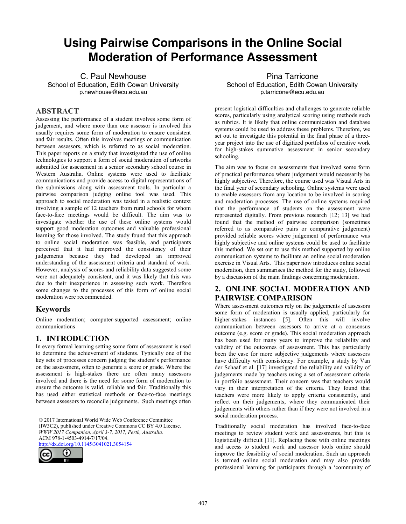# **Using Pairwise Comparisons in the Online Social Moderation of Performance Assessment**

C. Paul Newhouse School of Education, Edith Cowan University

p.newhouse@ecu.edu.au

## **ABSTRACT**

Assessing the performance of a student involves some form of judgement, and where more than one assessor is involved this usually requires some form of moderation to ensure consistent and fair results. Often this involves meetings or communication between assessors, which is referred to as social moderation. This paper reports on a study that investigated the use of online technologies to support a form of social moderation of artworks submitted for assessment in a senior secondary school course in Western Australia. Online systems were used to facilitate communications and provide access to digital representations of the submissions along with assessment tools. In particular a pairwise comparison judging online tool was used. This approach to social moderation was tested in a realistic context involving a sample of 12 teachers from rural schools for whom face-to-face meetings would be difficult. The aim was to investigate whether the use of these online systems would support good moderation outcomes and valuable professional learning for those involved. The study found that this approach to online social moderation was feasible, and participants perceived that it had improved the consistency of their judgements because they had developed an improved understanding of the assessment criteria and standard of work. However, analysis of scores and reliability data suggested some were not adequately consistent, and it was likely that this was due to their inexperience in assessing such work. Therefore some changes to the processes of this form of online social moderation were recommended.

# **Keywords**

Online moderation; computer-supported assessment; online communications

# **1. INTRODUCTION**

In every formal learning setting some form of assessment is used to determine the achievement of students. Typically one of the key sets of processes concern judging the student's performance on the assessment, often to generate a score or grade. Where the assessment is high-stakes there are often many assessors involved and there is the need for some form of moderation to ensure the outcome is valid, reliable and fair. Traditionally this has used either statistical methods or face-to-face meetings between assessors to reconcile judgements. Such meetings often

© 2017 International World Wide Web Conference Committee (IW3C2), published under Creative Commons CC BY 4.0 License. *WWW 2017 Companion, April 3-7, 2017, Perth, Australia.* ACM 978-1-4503-4914-7/17/04. <http://dx.doi.org/10.1145/3041021.3054154>



Pina Tarricone School of Education, Edith Cowan University p.tarricone@ecu.edu.au

present logistical difficulties and challenges to generate reliable scores, particularly using analytical scoring using methods such as rubrics. It is likely that online communication and database systems could be used to address these problems. Therefore, we set out to investigate this potential in the final phase of a threeyear project into the use of digitized portfolios of creative work for high-stakes summative assessment in senior secondary schooling.

The aim was to focus on assessments that involved some form of practical performance where judgement would necessarily be highly subjective. Therefore, the course used was Visual Arts in the final year of secondary schooling. Online systems were used to enable assessors from any location to be involved in scoring and moderation processes. The use of online systems required that the performance of students on the assessment were represented digitally. From previous research [12; 13] we had found that the method of pairwise comparison (sometimes referred to as comparative pairs or comparative judgement) provided reliable scores where judgement of performance was highly subjective and online systems could be used to facilitate this method. We set out to use this method supported by online communication systems to facilitate an online social moderation exercise in Visual Arts. This paper now introduces online social moderation, then summarises the method for the study, followed by a discussion of the main findings concerning moderation.

## **2. ONLINE SOCIAL MODERATION AND PAIRWISE COMPARISON**

Where assessment outcomes rely on the judgements of assessors some form of moderation is usually applied, particularly for higher-stakes instances [5]. Often this will involve communication between assessors to arrive at a consensus outcome (e.g. score or grade). This social moderation approach has been used for many years to improve the reliability and validity of the outcomes of assessment. This has particularly been the case for more subjective judgements where assessors have difficulty with consistency. For example, a study by Van der Schaaf et al. [17] investigated the reliability and validity of judgements made by teachers using a set of assessment criteria in portfolio assessment. Their concern was that teachers would vary in their interpretation of the criteria. They found that teachers were more likely to apply criteria consistently, and reflect on their judgements, where they communicated their judgements with others rather than if they were not involved in a social moderation process.

Traditionally social moderation has involved face-to-face meetings to review student work and assessments, but this is logistically difficult [11]. Replacing these with online meetings and access to student work and assessor tools online should improve the feasibility of social moderation. Such an approach is termed online social moderation and may also provide professional learning for participants through a 'community of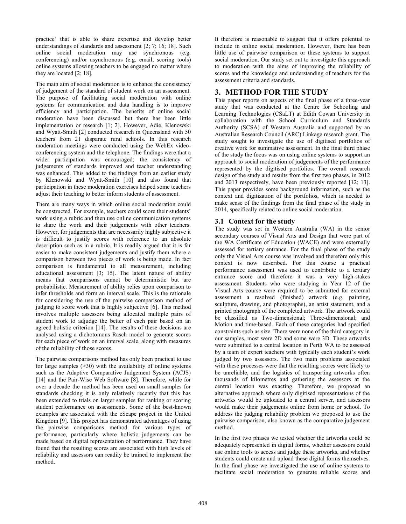practice' that is able to share expertise and develop better understandings of standards and assessment [2; 7; 16; 18]. Such online social moderation may use synchronous (e.g. conferencing) and/or asynchronous (e.g. email, scoring tools) online systems allowing teachers to be engaged no matter where they are located [2; 18].

The main aim of social moderation is to enhance the consistency of judgement of the standard of student work on an assessment. The purpose of facilitating social moderation with online systems for communication and data handling is to improve efficiency and participation. The benefits of online social moderation have been discussed but there has been little implementation or research [1; 2]. However, Adie, Klenowski and Wyatt-Smith [2] conducted research in Queensland with 50 teachers from 21 disparate rural schools. In this research moderation meetings were conducted using the WebEx videoconferencing system and the telephone. The findings were that a wider participation was encouraged; the consistency of judgements of standards improved and teacher understanding was enhanced. This added to the findings from an earlier study by Klenowski and Wyatt-Smith [10] and also found that participation in these moderation exercises helped some teachers adjust their teaching to better inform students of assessment.

There are many ways in which online social moderation could be constructed. For example, teachers could score their students' work using a rubric and then use online communication systems to share the work and their judgements with other teachers. However, for judgements that are necessarily highly subjective it is difficult to justify scores with reference to an absolute description such as in a rubric. It is readily argued that it is far easier to make consistent judgements and justify them where a comparison between two pieces of work is being made. In fact comparison is fundamental to all measurement, including educational assessment [3; 15]. The latent nature of ability means that comparisons cannot be deterministic but are probabilistic. Measurement of ability relies upon comparison to infer thresholds and form an interval scale. This is the rationale for considering the use of the pairwise comparison method of judging to score work that is highly subjective [6]. This method involves multiple assessors being allocated multiple pairs of student work to adjudge the better of each pair based on an agreed holistic criterion [14]. The results of these decisions are analysed using a dichotomous Rasch model to generate scores for each piece of work on an interval scale, along with measures of the reliability of those scores.

The pairwise comparisons method has only been practical to use for large samples  $(>=30)$  with the availability of online systems such as the Adaptive Comparative Judgement System (ACJS) [14] and the Pair-Wise Web Software [8]. Therefore, while for over a decade the method has been used on small samples for standards checking it is only relatively recently that this has been extended to trials on larger samples for ranking or scoring student performance on assessments. Some of the best-known examples are associated with the eScape project in the United Kingdom [9]. This project has demonstrated advantages of using the pairwise comparisons method for various types of performance, particularly where holistic judgements can be made based on digital representation of performance. They have found that the resulting scores are associated with high levels of reliability and assessors can readily be trained to implement the method.

It therefore is reasonable to suggest that it offers potential to include in online social moderation. However, there has been little use of pairwise comparison or these systems to support social moderation. Our study set out to investigate this approach to moderation with the aims of improving the reliability of scores and the knowledge and understanding of teachers for the assessment criteria and standards.

## **3. METHOD FOR THE STUDY**

This paper reports on aspects of the final phase of a three-year study that was conducted at the Centre for Schooling and Learning Technologies (CSaLT) at Edith Cowan University in collaboration with the School Curriculum and Standards Authority (SCSA) of Western Australia and supported by an Australian Research Council (ARC) Linkage research grant. The study sought to investigate the use of digitised portfolios of creative work for summative assessment. In the final third phase of the study the focus was on using online systems to support an approach to social moderation of judgements of the performance represented by the digitised portfolios. The overall research design of the study and results from the first two phases, in 2012 and 2013 respectively, have been previously reported [12; 13]. This paper provides some background information, such as the context and digitization of the portfolios, which is needed to make sense of the findings from the final phase of the study in 2014, specifically related to online social moderation.

## **3.1 Context for the study**

The study was set in Western Australia (WA) in the senior secondary courses of Visual Arts and Design that were part of the WA Certificate of Education (WACE) and were externally assessed for tertiary entrance. For the final phase of the study only the Visual Arts course was involved and therefore only this context is now described. For this course a practical performance assessment was used to contribute to a tertiary entrance score and therefore it was a very high-stakes assessment. Students who were studying in Year 12 of the Visual Arts course were required to be submitted for external assessment a resolved (finished) artwork (e.g. painting, sculpture, drawing, and photographs), an artist statement, and a printed photograph of the completed artwork. The artwork could be classified as Two-dimensional; Three-dimensional; and Motion and time-based. Each of these categories had specified constraints such as size. There were none of the third category in our samples, most were 2D and some were 3D. These artworks were submitted to a central location in Perth WA to be assessed by a team of expert teachers with typically each student's work judged by two assessors. The two main problems associated with these processes were that the resulting scores were likely to be unreliable, and the logistics of transporting artworks often thousands of kilometres and gathering the assessors at the central location was exacting. Therefore, we proposed an alternative approach where only digitised representations of the artworks would be uploaded to a central server, and assessors would make their judgements online from home or school. To address the judging reliability problem we proposed to use the pairwise comparison, also known as the comparative judgement method.

In the first two phases we tested whether the artworks could be adequately represented in digital forms, whether assessors could use online tools to access and judge these artworks, and whether students could create and upload these digital forms themselves. In the final phase we investigated the use of online systems to facilitate social moderation to generate reliable scores and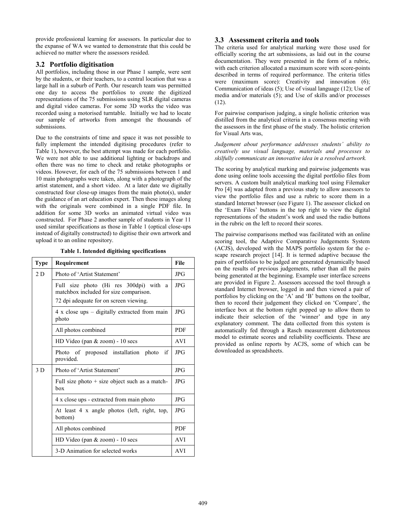provide professional learning for assessors. In particular due to the expanse of WA we wanted to demonstrate that this could be achieved no matter where the assessors resided.

#### **3.2 Portfolio digitisation**

All portfolios, including those in our Phase 1 sample, were sent by the students, or their teachers, to a central location that was a large hall in a suburb of Perth. Our research team was permitted one day to access the portfolios to create the digitized representations of the 75 submissions using SLR digital cameras and digital video cameras. For some 3D works the video was recorded using a motorised turntable. Initially we had to locate our sample of artworks from amongst the thousands of submissions.

Due to the constraints of time and space it was not possible to fully implement the intended digitising procedures (refer to Table 1), however, the best attempt was made for each portfolio. We were not able to use additional lighting or backdrops and often there was no time to check and retake photographs or videos. However, for each of the 75 submissions between 1 and 10 main photographs were taken, along with a photograph of the artist statement, and a short video. At a later date we digitally constructed four close-up images from the main photo(s), under the guidance of an art education expert. Then these images along with the originals were combined in a single PDF file. In addition for some 3D works an animated virtual video was constructed. For Phase 2 another sample of students in Year 11 used similar specifications as those in Table 1 (optical close-ups instead of digitally constructed) to digitise their own artwork and upload it to an online repository.

**Table 1. Intended digitising specifications** 

| <b>Type</b> | Requirement                                                                                                                | File       |
|-------------|----------------------------------------------------------------------------------------------------------------------------|------------|
| 2D          | Photo of 'Artist Statement'                                                                                                | JPG        |
|             | Full size photo (Hi res 300dpi) with a<br>matchbox included for size comparison.<br>72 dpi adequate for on screen viewing. | JPG        |
|             | $4 \times$ close ups – digitally extracted from main<br>photo                                                              | JPG        |
|             | All photos combined                                                                                                        | <b>PDF</b> |
|             | HD Video (pan & zoom) - 10 secs                                                                                            | <b>AVI</b> |
|             | Photo of proposed installation photo<br>if<br>provided.                                                                    | JPG        |
| 3D          | Photo of 'Artist Statement'                                                                                                | JPG        |
|             | Full size photo $+$ size object such as a match-<br>hox                                                                    | JPG        |
|             | 4 x close ups - extracted from main photo                                                                                  | JPG        |
|             | At least 4 x angle photos (left, right, top,<br>bottom)                                                                    | JPG        |
|             | All photos combined                                                                                                        | <b>PDF</b> |
|             | HD Video (pan & zoom) - 10 secs                                                                                            | <b>AVI</b> |
|             | 3-D Animation for selected works                                                                                           | <b>AVI</b> |

## **3.3 Assessment criteria and tools**

The criteria used for analytical marking were those used for officially scoring the art submissions, as laid out in the course documentation. They were presented in the form of a rubric, with each criterion allocated a maximum score with score-points described in terms of required performance. The criteria titles were (maximum score): Creativity and innovation (6); Communication of ideas (5); Use of visual language (12); Use of media and/or materials (5); and Use of skills and/or processes  $(12)$ .

For pairwise comparison judging, a single holistic criterion was distilled from the analytical criteria in a consensus meeting with the assessors in the first phase of the study. The holistic criterion for Visual Arts was,

*Judgement about performance addresses students' ability to creatively use visual language, materials and processes to skilfully communicate an innovative idea in a resolved artwork.* 

The scoring by analytical marking and pairwise judgements was done using online tools accessing the digital portfolio files from servers. A custom built analytical marking tool using Filemaker Pro [4] was adapted from a previous study to allow assessors to view the portfolio files and use a rubric to score them in a standard Internet browser (see Figure 1). The assessor clicked on the 'Exam Files' buttons in the top right to view the digital representations of the student's work and used the radio buttons in the rubric on the left to record their scores.

The pairwise comparisons method was facilitated with an online scoring tool, the Adaptive Comparative Judgements System (ACJS), developed with the MAPS portfolio system for the escape research project [14]. It is termed adaptive because the pairs of portfolios to be judged are generated dynamically based on the results of previous judgements, rather than all the pairs being generated at the beginning. Example user interface screens are provided in Figure 2. Assessors accessed the tool through a standard Internet browser, logged in and then viewed a pair of portfolios by clicking on the 'A' and 'B' buttons on the toolbar, then to record their judgement they clicked on 'Compare', the interface box at the bottom right popped up to allow them to indicate their selection of the 'winner' and type in any explanatory comment. The data collected from this system is automatically fed through a Rasch measurement dichotomous model to estimate scores and reliability coefficients. These are provided as online reports by ACJS, some of which can be downloaded as spreadsheets.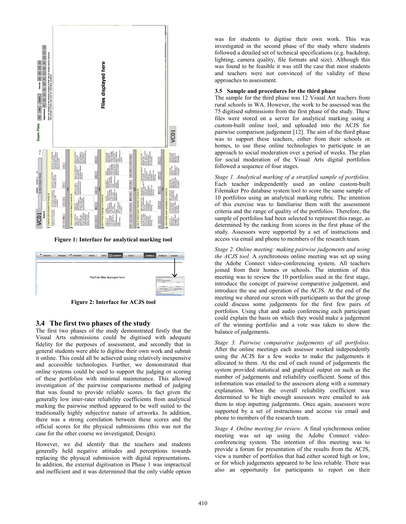

**Figure 1: Interface for analytical marking tool** 



**Figure 2: Interface for ACJS tool** 

## **3.4 The first two phases of the study**

The first two phases of the study demonstrated firstly that the Visual Arts submissions could be digitised with adequate fidelity for the purposes of assessment, and secondly that in general students were able to digitise their own work and submit it online. This could all be achieved using relatively inexpensive and accessible technologies. Further, we demonstrated that online systems could be used to support the judging or scoring of these portfolios with minimal maintenance. This allowed investigation of the pairwise comparisons method of judging that was found to provide reliable scores. In fact given the generally low inter-rater reliability coefficients from analytical marking the pairwise method appeared to be well suited to the traditionally highly subjective nature of artworks. In addition, there was a strong correlation between these scores and the official scores for the physical submissions (this was not the case for the other course we investigated; Design).

However, we did identify that the teachers and students generally held negative attitudes and perceptions towards replacing the physical submission with digital representations. In addition, the external digitisation in Phase 1 was impractical and inefficient and it was determined that the only viable option

was for students to digitise their own work. This was investigated in the second phase of the study where students followed a detailed set of technical specifications (e.g. backdrop, lighting, camera quality, file formats and size). Although this was found to be feasible it was still the case that most students and teachers were not convinced of the validity of these approaches to assessment.

#### **3.5 Sample and procedures for the third phase**

The sample for the third phase was 12 Visual Art teachers from rural schools in WA. However, the work to be assessed was the 75 digitised submissions from the first phase of the study. These files were stored on a server for analytical marking using a custom-built online tool, and uploaded into the ACJS for pairwise comparison judgement [12]. The aim of the third phase was to support these teachers, either from their schools or homes, to use these online technologies to participate in an approach to social moderation over a period of weeks. The plan for social moderation of the Visual Arts digital portfolios followed a sequence of four stages.

*Stage 1. Analytical marking of a stratified sample of portfolios.* Each teacher independently used an online custom-built Filemaker Pro database system tool to score the same sample of 10 portfolios using an analytical marking rubric. The intention of this exercise was to familiarise them with the assessment criteria and the range of quality of the portfolios. Therefore, the sample of portfolios had been selected to represent this range, as determined by the ranking from scores in the first phase of the study. Assessors were supported by a set of instructions and access via email and phone to members of the research team.

*Stage 2. Online meeting: making pairwise judgements and using the ACJS tool.* A synchronous online meeting was set up using the Adobe Connect video-conferencing system. All teachers joined from their homes or schools. The intention of this meeting was to review the 10 portfolios used in the first stage, introduce the concept of pairwise comparative judgement, and introduce the use and operation of the ACJS. At the end of the meeting we shared our screen with participants so that the group could discuss some judgements for the first few pairs of portfolios. Using chat and audio conferencing each participant could explain the basis on which they would make a judgement of the winning portfolio and a vote was taken to show the balance of judgements.

*Stage 3. Pairwise comparative judgements of all portfolios.* After the online meetings each assessor worked independently using the ACJS for a few weeks to make the judgements it allocated to them. At the end of each round of judgements the system provided statistical and graphical output on such as the number of judgements and reliability coefficient. Some of this information was emailed to the assessors along with a summary explanation. When the overall reliability coefficient was determined to be high enough assessors were emailed to ask them to stop inputting judgements. Once again, assessors were supported by a set of instructions and access via email and phone to members of the research team.

*Stage 4. Online meeting for review.* A final synchronous online meeting was set up using the Adobe Connect videoconferencing system. The intention of this meeting was to provide a forum for presentation of the results from the ACJS, view a number of portfolios that had either scored high or low, or for which judgements appeared to be less reliable. There was also an opportunity for participants to report on their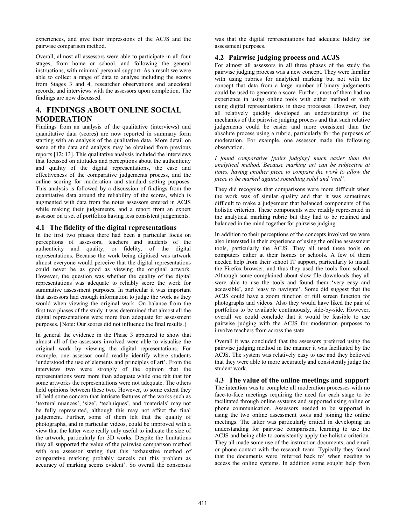experiences, and give their impressions of the ACJS and the pairwise comparison method.

Overall, almost all assessors were able to participate in all four stages, from home or school, and following the general instructions, with minimal personal support. As a result we were able to collect a range of data to analyse including the scores from Stages 3 and 4, researcher observations and anecdotal records, and interviews with the assessors upon completion. The findings are now discussed.

## **4. FINDINGS ABOUT ONLINE SOCIAL MODERATION**

Findings from an analysis of the qualitative (interviews) and quantitative data (scores) are now reported in summary form starting with an analysis of the qualitative data. More detail on some of the data and analysis may be obtained from previous reports [12; 13]. This qualitative analysis included the interviews that focussed on attitudes and perceptions about the authenticity and quality of the digital representations, the ease and effectiveness of the comparative judgements process, and the online scoring for moderation and standard setting purposes. This analysis is followed by a discussion of findings from the quantitative data around the reliability of the scores, which is augmented with data from the notes assessors entered in ACJS while making their judgements, and a report from an expert assessor on a set of portfolios having less consistent judgements.

#### **4.1 The fidelity of the digital representations**

In the first two phases there had been a particular focus on perceptions of assessors, teachers and students of the authenticity and quality, or fidelity, of the digital representations. Because the work being digitised was artwork almost everyone would perceive that the digital representations could never be as good as viewing the original artwork. However, the question was whether the quality of the digital representations was adequate to reliably score the work for summative assessment purposes. In particular it was important that assessors had enough information to judge the work as they would when viewing the original work. On balance from the first two phases of the study it was determined that almost all the digital representations were more than adequate for assessment purposes. [Note: Our scores did not influence the final results.]

In general the evidence in the Phase 3 appeared to show that almost all of the assessors involved were able to visualise the original work by viewing the digital representations. For example, one assessor could readily identify where students 'understood the use of elements and principles of art'. From the interviews two were strongly of the opinion that the representations were more than adequate while one felt that for some artworks the representations were not adequate. The others held opinions between these two. However, to some extent they all held some concern that intricate features of the works such as 'textural nuances', 'size', 'techniques', and 'materials' may not be fully represented, although this may not affect the final judgement. Further, some of them felt that the quality of photographs, and in particular videos, could be improved with a view that the latter were really only useful to indicate the size of the artwork, particularly for 3D works. Despite the limitations they all supported the value of the pairwise comparison method with one assessor stating that this 'exhaustive method of comparative marking probably cancels out this problem as accuracy of marking seems evident'. So overall the consensus

was that the digital representations had adequate fidelity for assessment purposes.

#### **4.2 Pairwise judging process and ACJS**

For almost all assessors in all three phases of the study the pairwise judging process was a new concept. They were familiar with using rubrics for analytical marking but not with the concept that data from a large number of binary judgements could be used to generate a score. Further, most of them had no experience in using online tools with either method or with using digital representations in these processes. However, they all relatively quickly developed an understanding of the mechanics of the pairwise judging process and that such relative judgements could be easier and more consistent than the absolute process using a rubric, particularly for the purposes of moderation. For example, one assessor made the following observation.

*I found comparative [pairs judging] much easier than the analytical method. Because marking art can be subjective at times, having another piece to compare the work to allow the piece to be marked against something solid and 'real'.*

They did recognise that comparisons were more difficult when the work was of similar quality and that it was sometimes difficult to make a judgement that balanced components of the holistic criterion. These components were readily represented in the analytical marking rubric but they had to be retained and balanced in the mind together for pairwise judging.

In addition to their perceptions of the concepts involved we were also interested in their experience of using the online assessment tools, particularly the ACJS. They all used these tools on computers either at their homes or schools. A few of them needed help from their school IT support, particularly to install the Firefox browser, and thus they used the tools from school. Although some complained about slow file downloads they all were able to use the tools and found them 'very easy and accessible', and 'easy to navigate'. Some did suggest that the ACJS could have a zoom function or full screen function for photographs and videos. Also they would have liked the pair of portfolios to be available continuously, side-by-side. However, overall we could conclude that it would be feasible to use pairwise judging with the ACJS for moderation purposes to involve teachers from across the state.

Overall it was concluded that the assessors preferred using the pairwise judging method in the manner it was facilitated by the ACJS. The system was relatively easy to use and they believed that they were able to more accurately and consistently judge the student work.

#### **4.3 The value of the online meetings and support**

The intention was to complete all moderation processes with no face-to-face meetings requiring the need for each stage to be facilitated through online systems and supported using online or phone communication. Assessors needed to be supported in using the two online assessment tools and joining the online meetings. The latter was particularly critical in developing an understanding for pairwise comparison, learning to use the ACJS and being able to consistently apply the holistic criterion. They all made some use of the instruction documents, and email or phone contact with the research team. Typically they found that the documents were 'referred back to' when needing to access the online systems. In addition some sought help from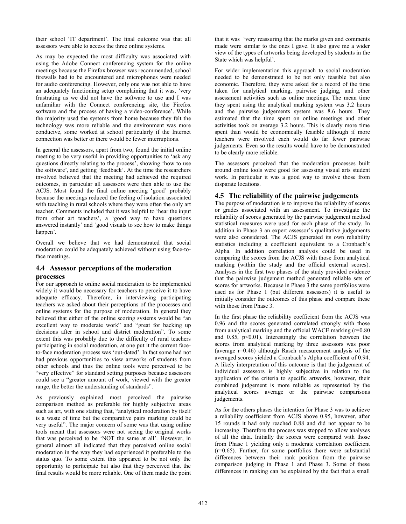their school 'IT department'. The final outcome was that all assessors were able to access the three online systems.

As may be expected the most difficulty was associated with using the Adobe Connect conferencing system for the online meetings because the Firefox browser was recommended, school firewalls had to be encountered and microphones were needed for audio conferencing. However, only one was not able to have an adequately functioning setup complaining that it was, 'very frustrating as we did not have the software to use and I was unfamiliar with the Connect conferencing site, the Firefox software and the process of having a video-conference'. While the majority used the systems from home because they felt the technology was more reliable and the environment was more conducive, some worked at school particularly if the Internet connection was better or there would be fewer interruptions.

In general the assessors, apart from two, found the initial online meeting to be very useful in providing opportunities to 'ask any questions directly relating to the process', showing 'how to use the software', and getting 'feedback'. At the time the researchers involved believed that the meeting had achieved the required outcomes, in particular all assessors were then able to use the ACJS. Most found the final online meeting 'good' probably because the meetings reduced the feeling of isolation associated with teaching in rural schools where they were often the only art teacher. Comments included that it was helpful to 'hear the input from other art teachers', a 'good way to have questions answered instantly' and 'good visuals to see how to make things happen'.

Overall we believe that we had demonstrated that social moderation could be adequately achieved without using face-toface meetings.

## **4.4 Assessor perceptions of the moderation processes**

For our approach to online social moderation to be implemented widely it would be necessary for teachers to perceive it to have adequate efficacy. Therefore, in interviewing participating teachers we asked about their perceptions of the processes and online systems for the purpose of moderation. In general they believed that either of the online scoring systems would be "an excellent way to moderate work" and "great for backing up decisions after in school and district moderation". To some extent this was probably due to the difficulty of rural teachers participating in social moderation, at one put it the current faceto-face moderation process was 'out-dated'. In fact some had not had previous opportunities to view artworks of students from other schools and thus the online tools were perceived to be "very effective" for standard setting purposes because assessors could see a "greater amount of work, viewed with the greater range, the better the understanding of standards".

As previously explained most perceived the pairwise comparison method as preferable for highly subjective areas such as art, with one stating that, "analytical moderation by itself is a waste of time but the comparative pairs marking could be very useful". The major concern of some was that using online tools meant that assessors were not seeing the original works that was perceived to be 'NOT the same at all'. However, in general almost all indicated that they perceived online social moderation in the way they had experienced it preferable to the status quo. To some extent this appeared to be not only the opportunity to participate but also that they perceived that the final results would be more reliable. One of them made the point that it was 'very reassuring that the marks given and comments made were similar to the ones I gave. It also gave me a wider view of the types of artworks being developed by students in the State which was helpful'.

For wider implementation this approach to social moderation needed to be demonstrated to be not only feasible but also economic. Therefore, they were asked for a record of the time taken for analytical marking, pairwise judging, and other assessment activities such as online meetings. The mean time they spent using the analytical marking system was 3.2 hours and the pairwise judgements system was 8.6 hours. They estimated that the time spent on online meetings and other activities took on average 3.2 hours. This is clearly more time spent than would be economically feasible although if more teachers were involved each would do far fewer pairwise judgements. Even so the results would have to be demonstrated to be clearly more reliable.

The assessors perceived that the moderation processes built around online tools were good for assessing visual arts student work. In particular it was a good way to involve those from disparate locations.

## **4.5 The reliability of the pairwise judgements**

The purpose of moderation is to improve the reliability of scores or grades associated with an assessment. To investigate the reliability of scores generated by the pairwise judgement method statistical measures were used for each phase of the study. In addition in Phase 3 an expert assessor's qualitative judgements were also considered. The ACJS generated its own reliability statistics including a coefficient equivalent to a Cronbach's Alpha. In addition correlation analysis could be used in comparing the scores from the ACJS with those from analytical marking (within the study and the official external scores). Analyses in the first two phases of the study provided evidence that the pairwise judgement method generated reliable sets of scores for artworks. Because in Phase 3 the same portfolios were used as for Phase 1 (but different assessors) it is useful to initially consider the outcomes of this phase and compare these with those from Phase 3.

In the first phase the reliability coefficient from the ACJS was 0.96 and the scores generated correlated strongly with those from analytical marking and the official WACE marking (r=0.80 and  $0.85$ ,  $p<0.01$ ). Interestingly the correlation between the scores from analytical marking by three assessors was poor (average r=0.46) although Rasch measurement analysis of the averaged scores yielded a Cronbach's Alpha coefficient of 0.94. A likely interpretation of this outcome is that the judgement of individual assessors is highly subjective in relation to the application of the criteria to specific artworks, however, their combined judgement is more reliable as represented by the analytical scores average or the pairwise comparisons judgements.

As for the others phases the intention for Phase 3 was to achieve a reliability coefficient from ACJS above 0.95, however, after 15 rounds it had only reached 0.88 and did not appear to be increasing. Therefore the process was stopped to allow analyses of all the data. Initially the scores were compared with those from Phase 1 yielding only a moderate correlation coefficient (r=0.65). Further, for some portfolios there were substantial differences between their rank position from the pairwise comparison judging in Phase 1 and Phase 3. Some of these differences in ranking can be explained by the fact that a small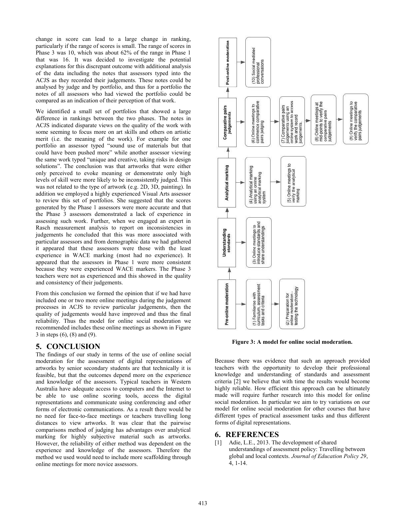change in score can lead to a large change in ranking, particularly if the range of scores is small. The range of scores in Phase 3 was 10, which was about 62% of the range in Phase 1 that was 16. It was decided to investigate the potential explanations for this discrepant outcome with additional analysis of the data including the notes that assessors typed into the ACJS as they recorded their judgements. These notes could be analysed by judge and by portfolio, and thus for a portfolio the notes of all assessors who had viewed the portfolio could be compared as an indication of their perception of that work.

We identified a small set of portfolios that showed a large difference in rankings between the two phases. The notes in ACJS indicated disparate views on the quality of the work with some seeming to focus more on art skills and others on artistic merit (i.e. the meaning of the work). For example for one portfolio an assessor typed "sound use of materials but that could have been pushed more" while another assessor viewing the same work typed "unique and creative, taking risks in design solutions". The conclusion was that artworks that were either only perceived to evoke meaning or demonstrate only high levels of skill were more likely to be inconsistently judged. This was not related to the type of artwork (e.g. 2D, 3D, painting). In addition we employed a highly experienced Visual Arts assessor to review this set of portfolios. She suggested that the scores generated by the Phase 1 assessors were more accurate and that the Phase 3 assessors demonstrated a lack of experience in assessing such work. Further, when we engaged an expert in Rasch measurement analysis to report on inconsistencies in judgements he concluded that this was more associated with particular assessors and from demographic data we had gathered it appeared that these assessors were those with the least experience in WACE marking (most had no experience). It appeared that the assessors in Phase 1 were more consistent because they were experienced WACE markers. The Phase 3 teachers were not as experienced and this showed in the quality and consistency of their judgements.

From this conclusion we formed the opinion that if we had have included one or two more online meetings during the judgement processes in ACJS to review particular judgements, then the quality of judgements would have improved and thus the final reliability. Thus the model for online social moderation we recommended includes these online meetings as shown in Figure 3 in steps (6), (8) and (9).

## **5. CONCLUSION**

The findings of our study in terms of the use of online social moderation for the assessment of digital representations of artworks by senior secondary students are that technically it is feasible, but that the outcomes depend more on the experience and knowledge of the assessors. Typical teachers in Western Australia have adequate access to computers and the Internet to be able to use online scoring tools, access the digital representations and communicate using conferencing and other forms of electronic communications. As a result there would be no need for face-to-face meetings or teachers travelling long distances to view artworks. It was clear that the pairwise comparisons method of judging has advantages over analytical marking for highly subjective material such as artworks. However, the reliability of either method was dependent on the experience and knowledge of the assessors. Therefore the method we used would need to include more scaffolding through online meetings for more novice assessors.



**Figure 3: A model for online social moderation.** 

Because there was evidence that such an approach provided teachers with the opportunity to develop their professional knowledge and understanding of standards and assessment criteria [2] we believe that with time the results would become highly reliable. How efficient this approach can be ultimately made will require further research into this model for online social moderation. In particular we aim to try variations on our model for online social moderation for other courses that have different types of practical assessment tasks and thus different forms of digital representations.

## **6. REFERENCES**

[1] Adie, L.E., 2013. The development of shared understandings of assessment policy: Travelling between global and local contexts. *Journal of Education Policy 29*, 4, 1-14.